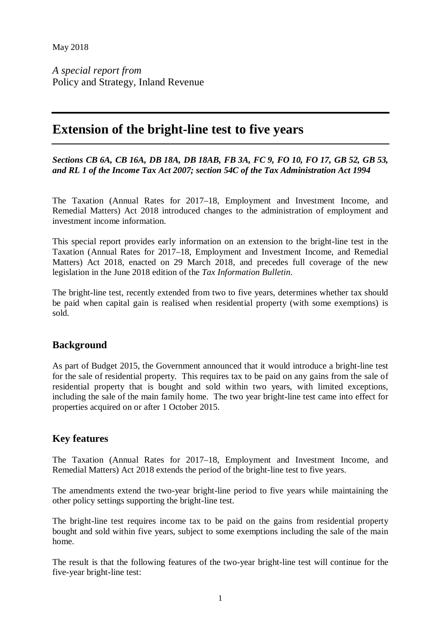*A special report from* Policy and Strategy, Inland Revenue

## **Extension of the bright-line test to five years**

*Sections CB 6A, CB 16A, DB 18A, DB 18AB, FB 3A, FC 9, FO 10, FO 17, GB 52, GB 53, and RL 1 of the Income Tax Act 2007; section 54C of the Tax Administration Act 1994*

The Taxation (Annual Rates for 2017–18, Employment and Investment Income, and Remedial Matters) Act 2018 introduced changes to the administration of employment and investment income information.

This special report provides early information on an extension to the bright-line test in the Taxation (Annual Rates for 2017–18, Employment and Investment Income, and Remedial Matters) Act 2018, enacted on 29 March 2018, and precedes full coverage of the new legislation in the June 2018 edition of the *Tax Information Bulletin*.

The bright-line test, recently extended from two to five years, determines whether tax should be paid when capital gain is realised when residential property (with some exemptions) is sold.

## **Background**

As part of Budget 2015, the Government announced that it would introduce a bright-line test for the sale of residential property. This requires tax to be paid on any gains from the sale of residential property that is bought and sold within two years, with limited exceptions, including the sale of the main family home. The two year bright-line test came into effect for properties acquired on or after 1 October 2015.

## **Key features**

The Taxation (Annual Rates for 2017–18, Employment and Investment Income, and Remedial Matters) Act 2018 extends the period of the bright-line test to five years.

The amendments extend the two-year bright-line period to five years while maintaining the other policy settings supporting the bright-line test.

The bright-line test requires income tax to be paid on the gains from residential property bought and sold within five years, subject to some exemptions including the sale of the main home.

The result is that the following features of the two-year bright-line test will continue for the five-year bright-line test: